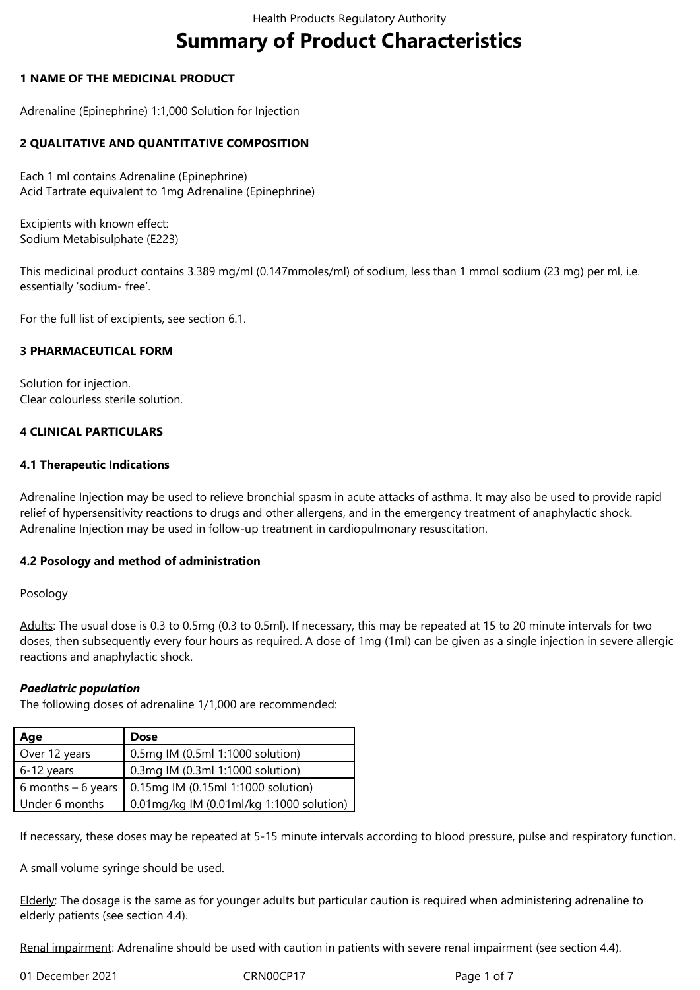# **Summary of Product Characteristics**

# **1 NAME OF THE MEDICINAL PRODUCT**

Adrenaline (Epinephrine) 1:1,000 Solution for Injection

# **2 QUALITATIVE AND QUANTITATIVE COMPOSITION**

Each 1 ml contains Adrenaline (Epinephrine) Acid Tartrate equivalent to 1mg Adrenaline (Epinephrine)

Excipients with known effect: Sodium Metabisulphate (E223)

This medicinal product contains 3.389 mg/ml (0.147mmoles/ml) of sodium, less than 1 mmol sodium (23 mg) per ml, i.e. essentially 'sodium- free'.

For the full list of excipients, see section 6.1.

# **3 PHARMACEUTICAL FORM**

Solution for injection. Clear colourless sterile solution.

# **4 CLINICAL PARTICULARS**

# **4.1 Therapeutic Indications**

Adrenaline Injection may be used to relieve bronchial spasm in acute attacks of asthma. It may also be used to provide rapid relief of hypersensitivity reactions to drugs and other allergens, and in the emergency treatment of anaphylactic shock. Adrenaline Injection may be used in follow-up treatment in cardiopulmonary resuscitation.

#### **4.2 Posology and method of administration**

#### Posology

Adults: The usual dose is 0.3 to 0.5mg (0.3 to 0.5ml). If necessary, this may be repeated at 15 to 20 minute intervals for two doses, then subsequently every four hours as required. A dose of 1mg (1ml) can be given as a single injection in severe allergic reactions and anaphylactic shock.

# *Paediatric population*

The following doses of adrenaline 1/1,000 are recommended:

| Age                 | <b>Dose</b>                              |
|---------------------|------------------------------------------|
| Over 12 years       | 0.5mg IM (0.5ml 1:1000 solution)         |
| 6-12 years          | 0.3mg IM (0.3ml 1:1000 solution)         |
| 6 months $-6$ years | 0.15mg IM (0.15ml 1:1000 solution)       |
| Under 6 months      | 0.01mg/kg IM (0.01ml/kg 1:1000 solution) |

If necessary, these doses may be repeated at 5-15 minute intervals according to blood pressure, pulse and respiratory function.

A small volume syringe should be used.

Elderly: The dosage is the same as for younger adults but particular caution is required when administering adrenaline to elderly patients (see section 4.4).

Renal impairment: Adrenaline should be used with caution in patients with severe renal impairment (see section 4.4).

01 December 2021 CRN00CP17 Page 1 of 7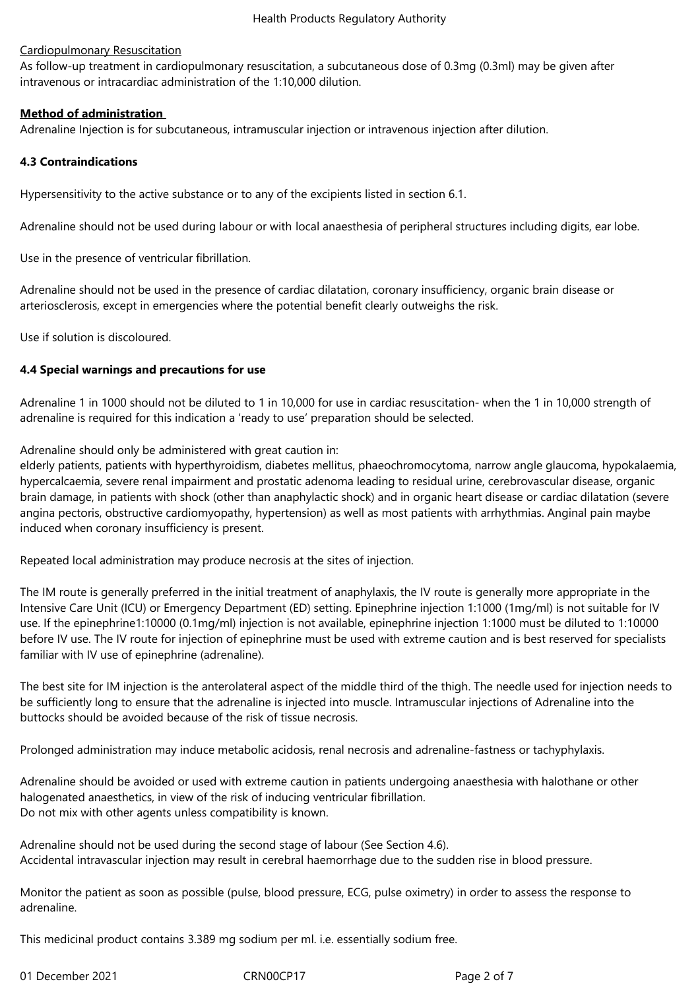# Cardiopulmonary Resuscitation

As follow-up treatment in cardiopulmonary resuscitation, a subcutaneous dose of 0.3mg (0.3ml) may be given after intravenous or intracardiac administration of the 1:10,000 dilution.

# **Method of administration**

Adrenaline Injection is for subcutaneous, intramuscular injection or intravenous injection after dilution.

# **4.3 Contraindications**

Hypersensitivity to the active substance or to any of the excipients listed in section 6.1.

Adrenaline should not be used during labour or with local anaesthesia of peripheral structures including digits, ear lobe.

Use in the presence of ventricular fibrillation.

Adrenaline should not be used in the presence of cardiac dilatation, coronary insufficiency, organic brain disease or arteriosclerosis, except in emergencies where the potential benefit clearly outweighs the risk.

Use if solution is discoloured.

# **4.4 Special warnings and precautions for use**

Adrenaline 1 in 1000 should not be diluted to 1 in 10,000 for use in cardiac resuscitation- when the 1 in 10,000 strength of adrenaline is required for this indication a 'ready to use' preparation should be selected.

Adrenaline should only be administered with great caution in:

elderly patients, patients with hyperthyroidism, diabetes mellitus, phaeochromocytoma, narrow angle glaucoma, hypokalaemia, hypercalcaemia, severe renal impairment and prostatic adenoma leading to residual urine, cerebrovascular disease, organic brain damage, in patients with shock (other than anaphylactic shock) and in organic heart disease or cardiac dilatation (severe angina pectoris, obstructive cardiomyopathy, hypertension) as well as most patients with arrhythmias. Anginal pain maybe induced when coronary insufficiency is present.

Repeated local administration may produce necrosis at the sites of injection.

The IM route is generally preferred in the initial treatment of anaphylaxis, the IV route is generally more appropriate in the Intensive Care Unit (ICU) or Emergency Department (ED) setting. Epinephrine injection 1:1000 (1mg/ml) is not suitable for IV use. If the epinephrine1:10000 (0.1mg/ml) injection is not available, epinephrine injection 1:1000 must be diluted to 1:10000 before IV use. The IV route for injection of epinephrine must be used with extreme caution and is best reserved for specialists familiar with IV use of epinephrine (adrenaline).

The best site for IM injection is the anterolateral aspect of the middle third of the thigh. The needle used for injection needs to be sufficiently long to ensure that the adrenaline is injected into muscle. Intramuscular injections of Adrenaline into the buttocks should be avoided because of the risk of tissue necrosis.

Prolonged administration may induce metabolic acidosis, renal necrosis and adrenaline-fastness or tachyphylaxis.

Adrenaline should be avoided or used with extreme caution in patients undergoing anaesthesia with halothane or other halogenated anaesthetics, in view of the risk of inducing ventricular fibrillation. Do not mix with other agents unless compatibility is known.

Adrenaline should not be used during the second stage of labour (See Section 4.6). Accidental intravascular injection may result in cerebral haemorrhage due to the sudden rise in blood pressure.

Monitor the patient as soon as possible (pulse, blood pressure, ECG, pulse oximetry) in order to assess the response to adrenaline.

This medicinal product contains 3.389 mg sodium per ml. i.e. essentially sodium free.

01 December 2021 CRN00CP17 Page 2 of 7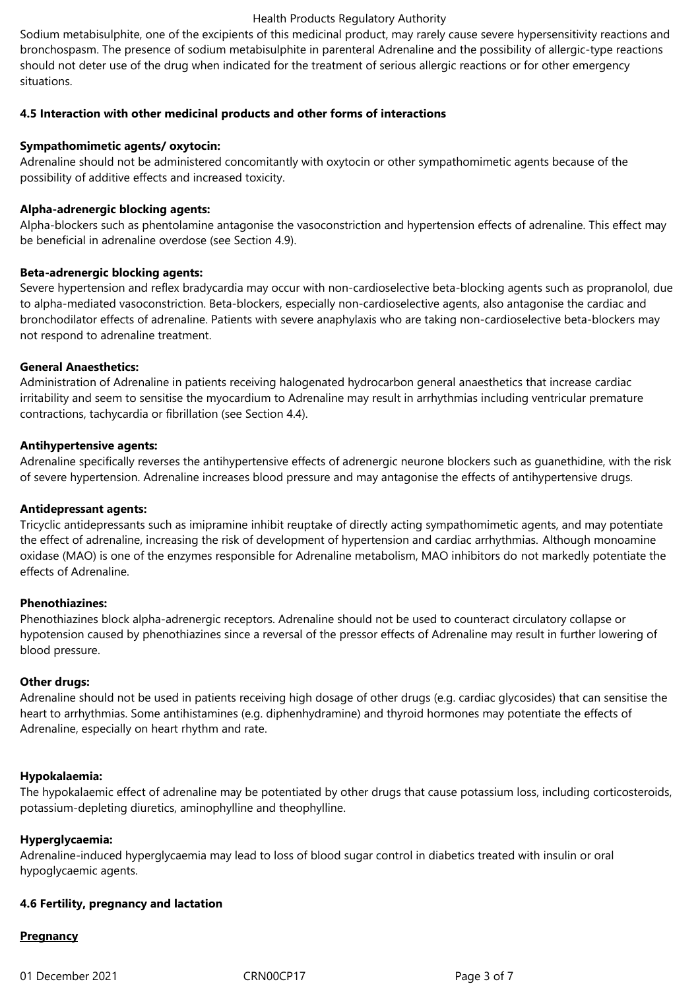#### Health Products Regulatory Authority

Sodium metabisulphite, one of the excipients of this medicinal product, may rarely cause severe hypersensitivity reactions and bronchospasm. The presence of sodium metabisulphite in parenteral Adrenaline and the possibility of allergic-type reactions should not deter use of the drug when indicated for the treatment of serious allergic reactions or for other emergency situations.

# **4.5 Interaction with other medicinal products and other forms of interactions**

# **Sympathomimetic agents/ oxytocin:**

Adrenaline should not be administered concomitantly with oxytocin or other sympathomimetic agents because of the possibility of additive effects and increased toxicity.

# **Alpha-adrenergic blocking agents:**

Alpha-blockers such as phentolamine antagonise the vasoconstriction and hypertension effects of adrenaline. This effect may be beneficial in adrenaline overdose (see Section 4.9).

# **Beta-adrenergic blocking agents:**

Severe hypertension and reflex bradycardia may occur with non-cardioselective beta-blocking agents such as propranolol, due to alpha-mediated vasoconstriction. Beta-blockers, especially non-cardioselective agents, also antagonise the cardiac and bronchodilator effects of adrenaline. Patients with severe anaphylaxis who are taking non-cardioselective beta-blockers may not respond to adrenaline treatment.

# **General Anaesthetics:**

Administration of Adrenaline in patients receiving halogenated hydrocarbon general anaesthetics that increase cardiac irritability and seem to sensitise the myocardium to Adrenaline may result in arrhythmias including ventricular premature contractions, tachycardia or fibrillation (see Section 4.4).

# **Antihypertensive agents:**

Adrenaline specifically reverses the antihypertensive effects of adrenergic neurone blockers such as guanethidine, with the risk of severe hypertension. Adrenaline increases blood pressure and may antagonise the effects of antihypertensive drugs.

#### **Antidepressant agents:**

Tricyclic antidepressants such as imipramine inhibit reuptake of directly acting sympathomimetic agents, and may potentiate the effect of adrenaline, increasing the risk of development of hypertension and cardiac arrhythmias. Although monoamine oxidase (MAO) is one of the enzymes responsible for Adrenaline metabolism, MAO inhibitors do not markedly potentiate the effects of Adrenaline.

#### **Phenothiazines:**

Phenothiazines block alpha-adrenergic receptors. Adrenaline should not be used to counteract circulatory collapse or hypotension caused by phenothiazines since a reversal of the pressor effects of Adrenaline may result in further lowering of blood pressure.

# **Other drugs:**

Adrenaline should not be used in patients receiving high dosage of other drugs (e.g. cardiac glycosides) that can sensitise the heart to arrhythmias. Some antihistamines (e.g. diphenhydramine) and thyroid hormones may potentiate the effects of Adrenaline, especially on heart rhythm and rate.

# **Hypokalaemia:**

The hypokalaemic effect of adrenaline may be potentiated by other drugs that cause potassium loss, including corticosteroids, potassium-depleting diuretics, aminophylline and theophylline.

#### **Hyperglycaemia:**

Adrenaline-induced hyperglycaemia may lead to loss of blood sugar control in diabetics treated with insulin or oral hypoglycaemic agents.

# **4.6 Fertility, pregnancy and lactation**

# **Pregnancy**

01 December 2021 CRN00CP17 CRN00CP17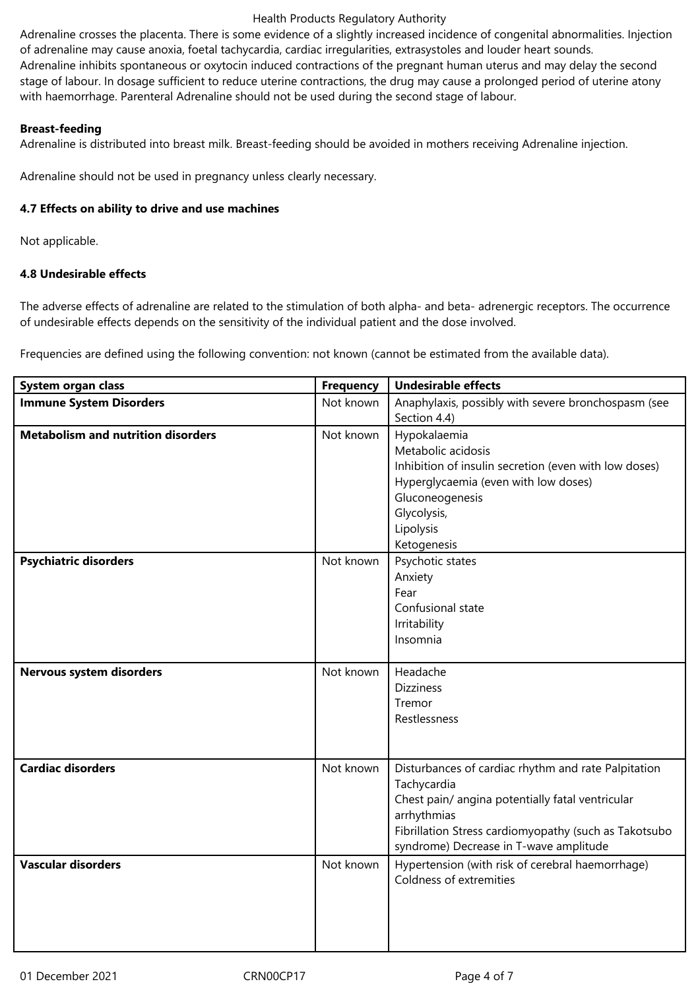#### Health Products Regulatory Authority

Adrenaline crosses the placenta. There is some evidence of a slightly increased incidence of congenital abnormalities. Injection of adrenaline may cause anoxia, foetal tachycardia, cardiac irregularities, extrasystoles and louder heart sounds. Adrenaline inhibits spontaneous or oxytocin induced contractions of the pregnant human uterus and may delay the second stage of labour. In dosage sufficient to reduce uterine contractions, the drug may cause a prolonged period of uterine atony with haemorrhage. Parenteral Adrenaline should not be used during the second stage of labour.

# **Breast-feeding**

Adrenaline is distributed into breast milk. Breast-feeding should be avoided in mothers receiving Adrenaline injection.

Adrenaline should not be used in pregnancy unless clearly necessary.

# **4.7 Effects on ability to drive and use machines**

Not applicable.

# **4.8 Undesirable effects**

The adverse effects of adrenaline are related to the stimulation of both alpha- and beta- adrenergic receptors. The occurrence of undesirable effects depends on the sensitivity of the individual patient and the dose involved.

Frequencies are defined using the following convention: not known (cannot be estimated from the available data).

| System organ class                        | <b>Frequency</b> | <b>Undesirable effects</b>                                                                                                                                                                                                               |
|-------------------------------------------|------------------|------------------------------------------------------------------------------------------------------------------------------------------------------------------------------------------------------------------------------------------|
| <b>Immune System Disorders</b>            | Not known        | Anaphylaxis, possibly with severe bronchospasm (see<br>Section 4.4)                                                                                                                                                                      |
| <b>Metabolism and nutrition disorders</b> | Not known        | Hypokalaemia<br>Metabolic acidosis<br>Inhibition of insulin secretion (even with low doses)<br>Hyperglycaemia (even with low doses)<br>Gluconeogenesis<br>Glycolysis,<br>Lipolysis<br>Ketogenesis                                        |
| <b>Psychiatric disorders</b>              | Not known        | Psychotic states<br>Anxiety<br>Fear<br>Confusional state<br>Irritability<br>Insomnia                                                                                                                                                     |
| Nervous system disorders                  | Not known        | Headache<br><b>Dizziness</b><br>Tremor<br>Restlessness                                                                                                                                                                                   |
| <b>Cardiac disorders</b>                  | Not known        | Disturbances of cardiac rhythm and rate Palpitation<br>Tachycardia<br>Chest pain/ angina potentially fatal ventricular<br>arrhythmias<br>Fibrillation Stress cardiomyopathy (such as Takotsubo<br>syndrome) Decrease in T-wave amplitude |
| <b>Vascular disorders</b>                 | Not known        | Hypertension (with risk of cerebral haemorrhage)<br>Coldness of extremities                                                                                                                                                              |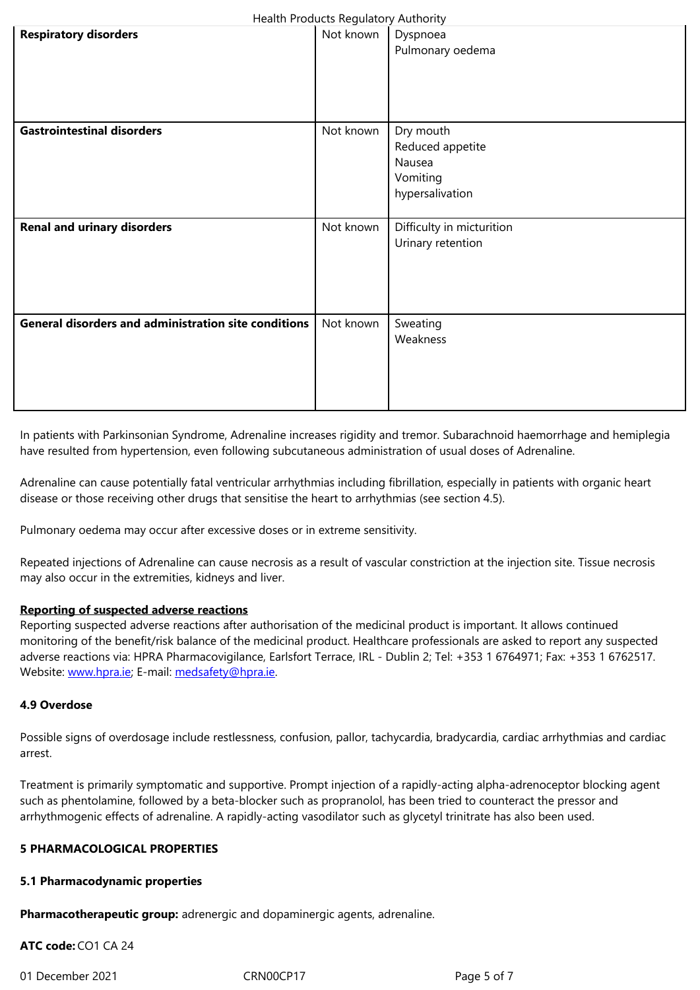| <b>Gastrointestinal disorders</b>                           | Not known | Dry mouth<br>Reduced appetite<br>Nausea<br>Vomiting<br>hypersalivation |
|-------------------------------------------------------------|-----------|------------------------------------------------------------------------|
| <b>Renal and urinary disorders</b>                          | Not known | Difficulty in micturition<br>Urinary retention                         |
| <b>General disorders and administration site conditions</b> | Not known | Sweating<br>Weakness                                                   |

In patients with Parkinsonian Syndrome, Adrenaline increases rigidity and tremor. Subarachnoid haemorrhage and hemiplegia have resulted from hypertension, even following subcutaneous administration of usual doses of Adrenaline.

Adrenaline can cause potentially fatal ventricular arrhythmias including fibrillation, especially in patients with organic heart disease or those receiving other drugs that sensitise the heart to arrhythmias (see section 4.5).

Pulmonary oedema may occur after excessive doses or in extreme sensitivity.

Repeated injections of Adrenaline can cause necrosis as a result of vascular constriction at the injection site. Tissue necrosis may also occur in the extremities, kidneys and liver.

#### **Reporting of suspected adverse reactions**

Reporting suspected adverse reactions after authorisation of the medicinal product is important. It allows continued monitoring of the benefit/risk balance of the medicinal product. Healthcare professionals are asked to report any suspected adverse reactions via: HPRA Pharmacovigilance, Earlsfort Terrace, IRL - Dublin 2; Tel: +353 1 6764971; Fax: +353 1 6762517. Website: www.hpra.ie; E-mail: medsafety@hpra.ie.

#### **4.9 Overdose**

Possible [signs of overd](http://www.hpra.ie/)osage [include restlessness,](mailto:medsafety@hpra.ie) confusion, pallor, tachycardia, bradycardia, cardiac arrhythmias and cardiac arrest.

Treatment is primarily symptomatic and supportive. Prompt injection of a rapidly-acting alpha-adrenoceptor blocking agent such as phentolamine, followed by a beta-blocker such as propranolol, has been tried to counteract the pressor and arrhythmogenic effects of adrenaline. A rapidly-acting vasodilator such as glycetyl trinitrate has also been used.

#### **5 PHARMACOLOGICAL PROPERTIES**

#### **5.1 Pharmacodynamic properties**

**Pharmacotherapeutic group:** adrenergic and dopaminergic agents, adrenaline.

**ATC code:** CO1 CA 24

01 December 2021 CRN00CP17 CRN00CP17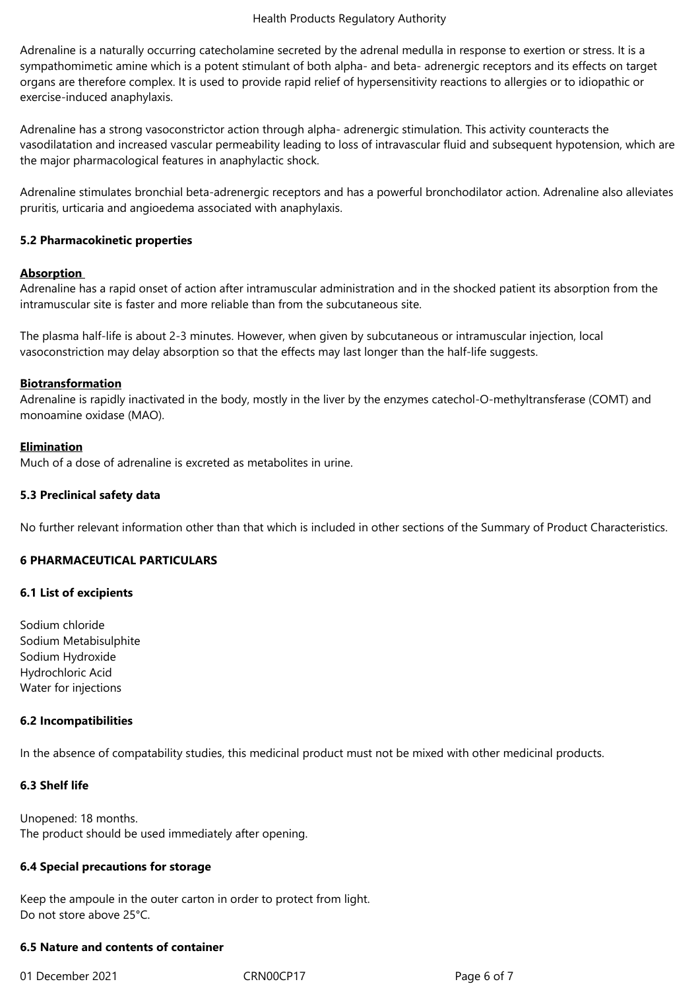Adrenaline is a naturally occurring catecholamine secreted by the adrenal medulla in response to exertion or stress. It is a sympathomimetic amine which is a potent stimulant of both alpha- and beta- adrenergic receptors and its effects on target organs are therefore complex. It is used to provide rapid relief of hypersensitivity reactions to allergies or to idiopathic or exercise-induced anaphylaxis.

Adrenaline has a strong vasoconstrictor action through alpha- adrenergic stimulation. This activity counteracts the vasodilatation and increased vascular permeability leading to loss of intravascular fluid and subsequent hypotension, which are the major pharmacological features in anaphylactic shock.

Adrenaline stimulates bronchial beta-adrenergic receptors and has a powerful bronchodilator action. Adrenaline also alleviates pruritis, urticaria and angioedema associated with anaphylaxis.

#### **5.2 Pharmacokinetic properties**

#### **Absorption**

Adrenaline has a rapid onset of action after intramuscular administration and in the shocked patient its absorption from the intramuscular site is faster and more reliable than from the subcutaneous site.

The plasma half-life is about 2-3 minutes. However, when given by subcutaneous or intramuscular injection, local vasoconstriction may delay absorption so that the effects may last longer than the half-life suggests.

#### **Biotransformation**

Adrenaline is rapidly inactivated in the body, mostly in the liver by the enzymes catechol-O-methyltransferase (COMT) and monoamine oxidase (MAO).

#### **Elimination**

Much of a dose of adrenaline is excreted as metabolites in urine.

#### **5.3 Preclinical safety data**

No further relevant information other than that which is included in other sections of the Summary of Product Characteristics.

#### **6 PHARMACEUTICAL PARTICULARS**

#### **6.1 List of excipients**

Sodium chloride Sodium Metabisulphite Sodium Hydroxide Hydrochloric Acid Water for injections

#### **6.2 Incompatibilities**

In the absence of compatability studies, this medicinal product must not be mixed with other medicinal products.

#### **6.3 Shelf life**

Unopened: 18 months. The product should be used immediately after opening.

#### **6.4 Special precautions for storage**

Keep the ampoule in the outer carton in order to protect from light. Do not store above 25°C.

#### **6.5 Nature and contents of container**

01 December 2021 CRN00CP17 Page 6 of 7